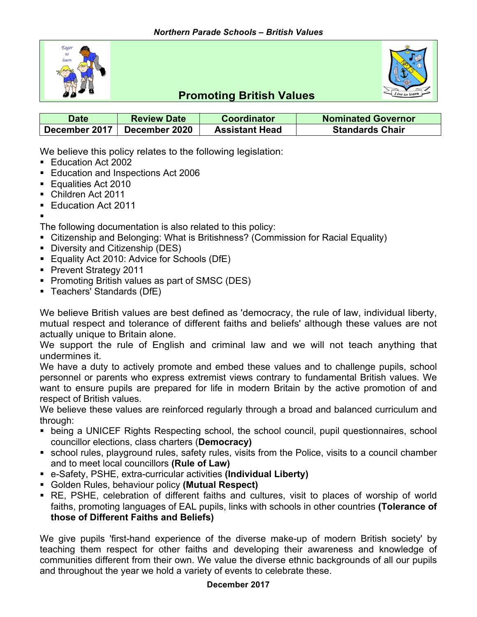



# **Promoting British Values**

| <b>Date</b>   | <b>Review Date</b> | <b>Coordinator</b>    | <b>Nominated Governor</b> |
|---------------|--------------------|-----------------------|---------------------------|
| December 2017 | December 2020      | <b>Assistant Head</b> | <b>Standards Chair</b>    |

We believe this policy relates to the following legislation:

- Education Act 2002
- Education and Inspections Act 2006
- Equalities Act 2010
- § Children Act 2011
- Education Act 2011
- §

The following documentation is also related to this policy:

- Citizenship and Belonging: What is Britishness? (Commission for Racial Equality)
- Diversity and Citizenship (DES)
- Equality Act 2010: Advice for Schools (DfE)
- Prevent Strategy 2011
- Promoting British values as part of SMSC (DES)
- § Teachers' Standards (DfE)

We believe British values are best defined as 'democracy, the rule of law, individual liberty, mutual respect and tolerance of different faiths and beliefs' although these values are not actually unique to Britain alone.

We support the rule of English and criminal law and we will not teach anything that undermines it.

We have a duty to actively promote and embed these values and to challenge pupils, school personnel or parents who express extremist views contrary to fundamental British values. We want to ensure pupils are prepared for life in modern Britain by the active promotion of and respect of British values.

We believe these values are reinforced regularly through a broad and balanced curriculum and through:

- being a UNICEF Rights Respecting school, the school council, pupil questionnaires, school councillor elections, class charters (**Democracy)**
- school rules, playground rules, safety rules, visits from the Police, visits to a council chamber and to meet local councillors **(Rule of Law)**
- § e-Safety, PSHE, extra-curricular activities **(Individual Liberty)**
- § Golden Rules, behaviour policy **(Mutual Respect)**
- RE, PSHE, celebration of different faiths and cultures, visit to places of worship of world faiths, promoting languages of EAL pupils, links with schools in other countries **(Tolerance of those of Different Faiths and Beliefs)**

We give pupils 'first-hand experience of the diverse make-up of modern British society' by teaching them respect for other faiths and developing their awareness and knowledge of communities different from their own. We value the diverse ethnic backgrounds of all our pupils and throughout the year we hold a variety of events to celebrate these.

#### **December 2017**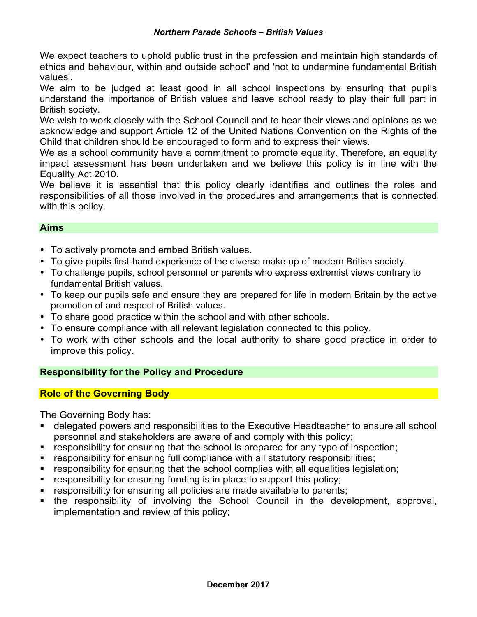We expect teachers to uphold public trust in the profession and maintain high standards of ethics and behaviour, within and outside school' and 'not to undermine fundamental British values'.

We aim to be judged at least good in all school inspections by ensuring that pupils understand the importance of British values and leave school ready to play their full part in British society.

We wish to work closely with the School Council and to hear their views and opinions as we acknowledge and support Article 12 of the United Nations Convention on the Rights of the Child that children should be encouraged to form and to express their views.

We as a school community have a commitment to promote equality. Therefore, an equality impact assessment has been undertaken and we believe this policy is in line with the Equality Act 2010.

We believe it is essential that this policy clearly identifies and outlines the roles and responsibilities of all those involved in the procedures and arrangements that is connected with this policy.

### **Aims**

- To actively promote and embed British values.
- To give pupils first-hand experience of the diverse make-up of modern British society.
- To challenge pupils, school personnel or parents who express extremist views contrary to fundamental British values.
- To keep our pupils safe and ensure they are prepared for life in modern Britain by the active promotion of and respect of British values.
- To share good practice within the school and with other schools.
- To ensure compliance with all relevant legislation connected to this policy.
- To work with other schools and the local authority to share good practice in order to improve this policy.

## **Responsibility for the Policy and Procedure**

### **Role of the Governing Body**

The Governing Body has:

- § delegated powers and responsibilities to the Executive Headteacher to ensure all school personnel and stakeholders are aware of and comply with this policy;
- responsibility for ensuring that the school is prepared for any type of inspection;
- responsibility for ensuring full compliance with all statutory responsibilities;
- responsibility for ensuring that the school complies with all equalities legislation;
- responsibility for ensuring funding is in place to support this policy;
- responsibility for ensuring all policies are made available to parents;
- the responsibility of involving the School Council in the development, approval, implementation and review of this policy;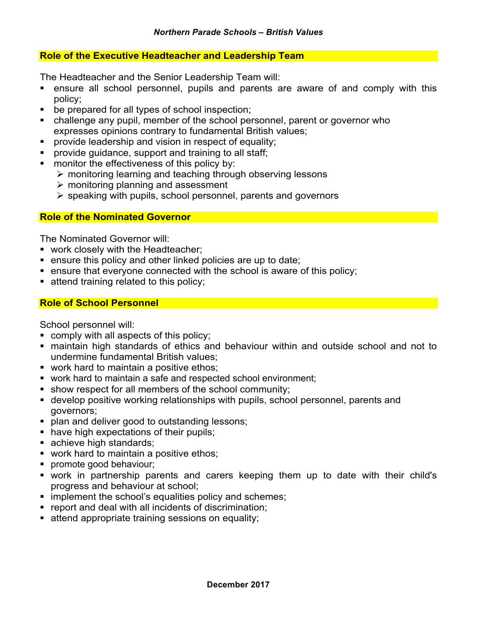#### **Role of the Executive Headteacher and Leadership Team**

The Headteacher and the Senior Leadership Team will:

- ensure all school personnel, pupils and parents are aware of and comply with this policy;
- be prepared for all types of school inspection;
- challenge any pupil, member of the school personnel, parent or governor who expresses opinions contrary to fundamental British values;
- **•** provide leadership and vision in respect of equality;
- **•** provide guidance, support and training to all staff:
- monitor the effectiveness of this policy by:
	- $\triangleright$  monitoring learning and teaching through observing lessons
	- $\triangleright$  monitoring planning and assessment
	- $\triangleright$  speaking with pupils, school personnel, parents and governors

#### **Role of the Nominated Governor**

The Nominated Governor will:

- work closely with the Headteacher;
- ensure this policy and other linked policies are up to date;
- ensure that everyone connected with the school is aware of this policy;
- **attend training related to this policy;**

#### **Role of School Personnel**

School personnel will:

- comply with all aspects of this policy;
- maintain high standards of ethics and behaviour within and outside school and not to undermine fundamental British values;
- work hard to maintain a positive ethos;
- work hard to maintain a safe and respected school environment;
- show respect for all members of the school community;
- develop positive working relationships with pupils, school personnel, parents and governors;
- **plan and deliver good to outstanding lessons;**
- have high expectations of their pupils;
- achieve high standards;
- work hard to maintain a positive ethos;
- **•** promote good behaviour;
- § work in partnership parents and carers keeping them up to date with their child's progress and behaviour at school;
- implement the school's equalities policy and schemes;
- report and deal with all incidents of discrimination;
- **EXECTE:** attend appropriate training sessions on equality;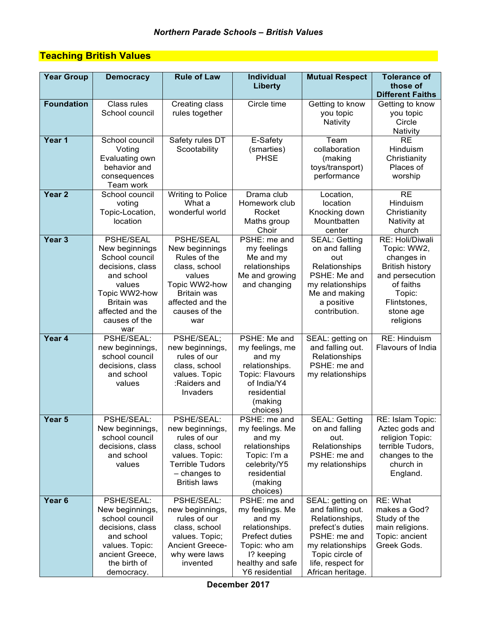# **Teaching British Values**

| <b>Year Group</b> | <b>Democracy</b>                                                                                                                                                             | <b>Rule of Law</b>                                                                                                                                               | <b>Individual</b><br>Liberty                                                                                                                       | <b>Mutual Respect</b>                                                                                                                                                       | <b>Tolerance of</b><br>those of                                                                                                                            |
|-------------------|------------------------------------------------------------------------------------------------------------------------------------------------------------------------------|------------------------------------------------------------------------------------------------------------------------------------------------------------------|----------------------------------------------------------------------------------------------------------------------------------------------------|-----------------------------------------------------------------------------------------------------------------------------------------------------------------------------|------------------------------------------------------------------------------------------------------------------------------------------------------------|
|                   |                                                                                                                                                                              |                                                                                                                                                                  |                                                                                                                                                    |                                                                                                                                                                             | <b>Different Faiths</b>                                                                                                                                    |
| <b>Foundation</b> | Class rules<br>School council                                                                                                                                                | Creating class<br>rules together                                                                                                                                 | Circle time                                                                                                                                        | Getting to know<br>you topic<br>Nativity                                                                                                                                    | Getting to know<br>you topic<br>Circle<br>Nativity                                                                                                         |
| Year 1            | School council<br>Voting<br>Evaluating own<br>behavior and<br>consequences<br>Team work                                                                                      | Safety rules DT<br>Scootability                                                                                                                                  | E-Safety<br>(smarties)<br><b>PHSE</b>                                                                                                              | Team<br>collaboration<br>(making<br>toys/transport)<br>performance                                                                                                          | <b>RE</b><br>Hinduism<br>Christianity<br>Places of<br>worship                                                                                              |
| Year <sub>2</sub> | School council<br>voting<br>Topic-Location,<br>location                                                                                                                      | Writing to Police<br>What a<br>wonderful world                                                                                                                   | Drama club<br>Homework club<br>Rocket<br>Maths group<br>Choir                                                                                      | Location,<br>location<br>Knocking down<br>Mountbatten<br>center                                                                                                             | <b>RE</b><br>Hinduism<br>Christianity<br>Nativity at<br>church                                                                                             |
| Year <sub>3</sub> | PSHE/SEAL<br>New beginnings<br>School council<br>decisions, class<br>and school<br>values<br>Topic WW2-how<br><b>Britain was</b><br>affected and the<br>causes of the<br>war | <b>PSHE/SEAL</b><br>New beginnings<br>Rules of the<br>class, school<br>values<br>Topic WW2-how<br><b>Britain was</b><br>affected and the<br>causes of the<br>war | PSHE: me and<br>my feelings<br>Me and my<br>relationships<br>Me and growing<br>and changing                                                        | <b>SEAL: Getting</b><br>on and falling<br>out<br>Relationships<br>PSHE: Me and<br>my relationships<br>Me and making<br>a positive<br>contribution.                          | RE: Holi/Diwali<br>Topic: WW2,<br>changes in<br><b>British history</b><br>and persecution<br>of faiths<br>Topic:<br>Flintstones,<br>stone age<br>religions |
| Year 4            | PSHE/SEAL:<br>new beginnings,<br>school council<br>decisions, class<br>and school<br>values                                                                                  | PSHE/SEAL;<br>new beginnings,<br>rules of our<br>class, school<br>values. Topic<br>:Raiders and<br>Invaders                                                      | PSHE: Me and<br>my feelings, me<br>and my<br>relationships.<br>Topic: Flavours<br>of India/Y4<br>residential<br>(making<br>choices)                | SEAL: getting on<br>and falling out.<br>Relationships<br>PSHE: me and<br>my relationships                                                                                   | RE: Hinduism<br>Flavours of India                                                                                                                          |
| Year 5            | PSHE/SEAL:<br>New beginnings,<br>school council<br>decisions, class<br>and school<br>values                                                                                  | PSHE/SEAL:<br>new beginnings,<br>rules of our<br>class, school<br>values. Topic:<br><b>Terrible Tudors</b><br>$-$ changes to<br><b>British laws</b>              | PSHE: me and<br>my feelings. Me<br>and my<br>relationships<br>Topic: I'm a<br>celebrity/Y5<br>residential<br>(making<br>choices)                   | <b>SEAL: Getting</b><br>on and falling<br>out.<br>Relationships<br>PSHE: me and<br>my relationships                                                                         | RE: Islam Topic:<br>Aztec gods and<br>religion Topic:<br>terrible Tudors,<br>changes to the<br>church in<br>England.                                       |
| Year <sub>6</sub> | PSHE/SEAL:<br>New beginnings,<br>school council<br>decisions, class<br>and school<br>values. Topic:<br>ancient Greece,<br>the birth of<br>democracy.                         | PSHE/SEAL:<br>new beginnings,<br>rules of our<br>class, school<br>values. Topic;<br><b>Ancient Greece-</b><br>why were laws<br>invented                          | PSHE: me and<br>my feelings. Me<br>and my<br>relationships.<br>Prefect duties<br>Topic: who am<br>1? keeping<br>healthy and safe<br>Y6 residential | SEAL: getting on<br>and falling out.<br>Relationships,<br>prefect's duties<br>PSHE: me and<br>my relationships<br>Topic circle of<br>life, respect for<br>African heritage. | RE: What<br>makes a God?<br>Study of the<br>main religions.<br>Topic: ancient<br>Greek Gods.                                                               |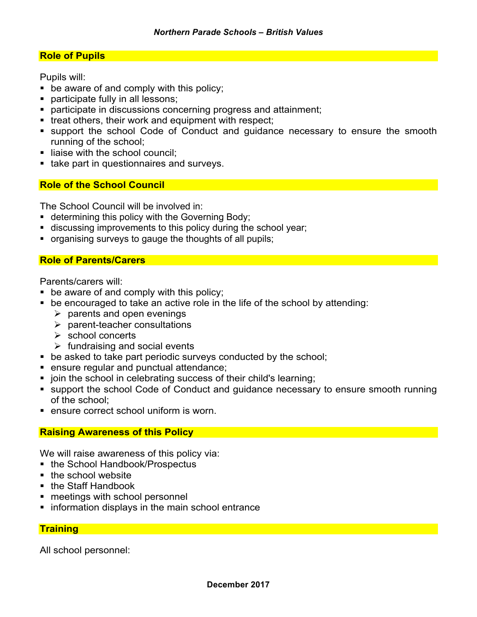#### **Role of Pupils**

Pupils will:

- be aware of and comply with this policy;
- **•** participate fully in all lessons;
- **participate in discussions concerning progress and attainment;**
- treat others, their work and equipment with respect;
- support the school Code of Conduct and guidance necessary to ensure the smooth running of the school;
- liaise with the school council;
- take part in questionnaires and surveys.

#### **Role of the School Council**

The School Council will be involved in:

- determining this policy with the Governing Body;
- discussing improvements to this policy during the school year;
- § organising surveys to gauge the thoughts of all pupils;

#### **Role of Parents/Carers**

Parents/carers will:

- be aware of and comply with this policy;
- be encouraged to take an active role in the life of the school by attending:
	- $\triangleright$  parents and open evenings
	- $\blacktriangleright$  parent-teacher consultations
	- $\triangleright$  school concerts
	- $\triangleright$  fundraising and social events
- be asked to take part periodic surveys conducted by the school;
- ensure regular and punctual attendance;
- join the school in celebrating success of their child's learning;
- support the school Code of Conduct and guidance necessary to ensure smooth running of the school;
- ensure correct school uniform is worn.

#### **Raising Awareness of this Policy**

We will raise awareness of this policy via:

- the School Handbook/Prospectus
- the school website
- the Staff Handbook
- meetings with school personnel
- **information displays in the main school entrance**

#### **Training**

All school personnel: